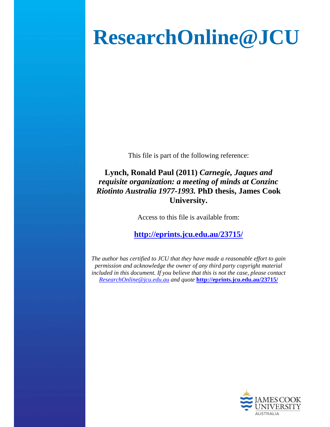# **ResearchOnline@JCU**

This file is part of the following reference:

**Lynch, Ronald Paul (2011)** *Carnegie, Jaques and requisite organization: a meeting of minds at Conzinc Riotinto Australia 1977-1993.* **PhD thesis, James Cook University.** 

Access to this file is available from:

**http://eprints.jcu.edu.au/23715/**

*The author has certified to JCU that they have made a reasonable effort to gain permission and acknowledge the owner of any third party copyright material included in this document. If you believe that this is not the case, please contact ResearchOnline@jcu.edu.au and quote* **http://eprints.jcu.edu.au/23715/**

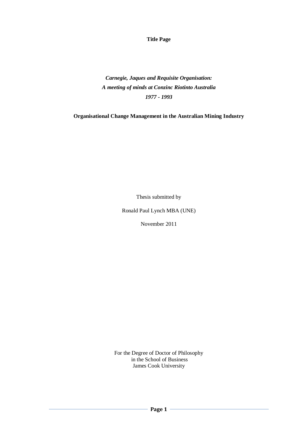**Title Page**

*Carnegie, Jaques and Requisite Organisation: A meeting of minds at Conzinc Riotinto Australia 1977 - 1993* 

**Organisational Change Management in the Australian Mining Industry**

Thesis submitted by

Ronald Paul Lynch MBA (UNE)

November 2011

For the Degree of Doctor of Philosophy in the School of Business James Cook University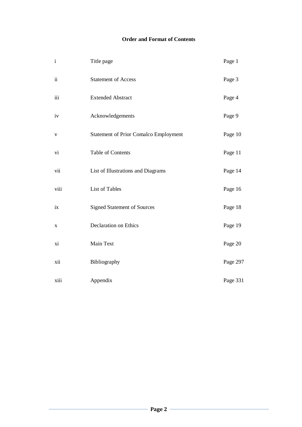## **Order and Format of Contents**

| $\mathbf{i}$    | Title page                                   | Page 1   |
|-----------------|----------------------------------------------|----------|
| $\ddot{\rm ii}$ | <b>Statement of Access</b>                   | Page 3   |
| iii             | <b>Extended Abstract</b>                     | Page 4   |
| iv              | Acknowledgements                             | Page 9   |
| $\mathbf{V}$    | <b>Statement of Prior Comalco Employment</b> | Page 10  |
| vi              | Table of Contents                            | Page 11  |
| vii             | List of Illustrations and Diagrams           | Page 14  |
| viii            | List of Tables                               | Page 16  |
| ix              | <b>Signed Statement of Sources</b>           | Page 18  |
| X               | <b>Declaration on Ethics</b>                 | Page 19  |
| xi              | Main Text                                    | Page 20  |
| xii             | Bibliography                                 | Page 297 |
| xiii            | Appendix                                     | Page 331 |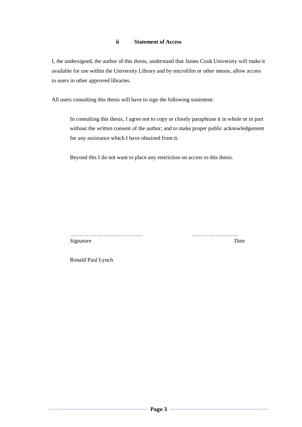## **ii Statement of Access**

I, the undersigned, the author of this thesis, understand that James Cook University will make it available for use within the University Library and by microfilm or other means, allow access to users in other approved libraries.

All users consulting this thesis will have to sign the following statement:

In consulting this thesis, I agree not to copy or closely paraphrase it in whole or in part without the written consent of the author; and to make proper public acknowledgement for any assistance which I have obtained from it.

Beyond this I do not want to place any restriction on access to this thesis.

………………………………… ……………………. Signature Date

Ronald Paul Lynch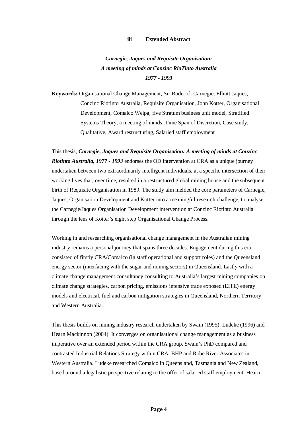#### **iii Extended Abstract**

*Carnegie, Jaques and Requisite Organisation: A meeting of minds at Conzinc RioTinto Australia 1977 - 1993* 

**Keywords:** Organisational Change Management, Sir Roderick Carnegie, Elliott Jaques, Conzinc Riotinto Australia, Requisite Organisation, John Kotter, Organisational Development, Comalco Weipa, five Stratum business unit model, Stratified Systems Theory, a meeting of minds, Time Span of Discretion, Case study, Qualitative, Award restructuring, Salaried staff employment

This thesis, *Carnegie, Jaques and Requisite Organisation: A meeting of minds at Conzinc Riotinto Australia, 1977 - 1993* endorses the OD intervention at CRA as a unique journey undertaken between two extraordinarily intelligent individuals, at a specific intersection of their working lives that, over time, resulted in a restructured global mining house and the subsequent birth of Requisite Organisation in 1989. The study aim melded the core parameters of Carnegie, Jaques, Organisation Development and Kotter into a meaningful research challenge, to analyse the Carnegie/Jaques Organisation Development intervention at Conzinc Riotinto Australia through the lens of Kotter's eight step Organisational Change Process.

Working in and researching organisational change management in the Australian mining industry remains a personal journey that spans three decades. Engagement during this era consisted of firstly CRA/Comalco (in staff operational and support roles) and the Queensland energy sector (interfacing with the sugar and mining sectors) in Queensland. Lastly with a climate change management consultancy consulting to Australia's largest mining companies on climate change strategies, carbon pricing, emissions intensive trade exposed (EITE) energy models and electrical, fuel and carbon mitigation strategies in Queensland, Northern Territory and Western Australia.

This thesis builds on mining industry research undertaken by Swain (1995), Ludeke (1996) and Hearn Mackinnon (2004). It converges on organisational change management as a business imperative over an extended period within the CRA group. Swain's PhD compared and contrasted Industrial Relations Strategy within CRA, BHP and Robe River Associates in Western Australia. Ludeke researched Comalco in Queensland, Tasmania and New Zealand, based around a legalistic perspective relating to the offer of salaried staff employment. Hearn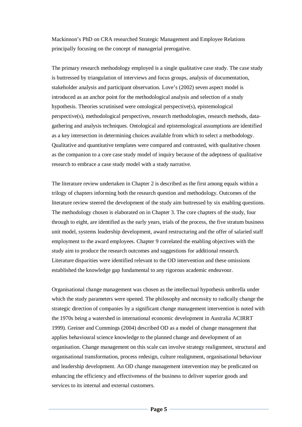Mackinnon's PhD on CRA researched Strategic Management and Employee Relations principally focusing on the concept of managerial prerogative.

The primary research methodology employed is a single qualitative case study. The case study is buttressed by triangulation of interviews and focus groups, analysis of documentation, stakeholder analysis and participant observation.Love's (2002) seven aspect model is introduced as an anchor point for the methodological analysis and selection of a study hypothesis. Theories scrutinised were ontological perspective(s), epistemological perspective(s), methodological perspectives, research methodologies, research methods, datagathering and analysis techniques. Ontological and epistemological assumptions are identified as a key intersection in determining choices available from which to select a methodology. Qualitative and quantitative templates were compared and contrasted, with qualitative chosen as the companion to a core case study model of inquiry because of the adeptness of qualitative research to embrace a case study model with a study narrative.

The literature review undertaken in Chapter 2 is described as the first among equals within a trilogy of chapters informing both the research question and methodology. Outcomes of the literature review steered the development of the study aim buttressed by six enabling questions. The methodology chosen is elaborated on in Chapter 3. The core chapters of the study, four through to eight, are identified as the early years, trials of the process, the five stratum business unit model, systems leadership development, award restructuring and the offer of salaried staff employment to the award employees. Chapter 9 correlated the enabling objectives with the study aim to produce the research outcomes and suggestions for additional research. Literature disparities were identified relevant to the OD intervention and these omissions established the knowledge gap fundamental to any rigorous academic endeavour.

Organisational change management was chosen as the intellectual hypothesis umbrella under which the study parameters were opened. The philosophy and necessity to radically change the strategic direction of companies by a significant change management intervention is noted with the 1970s being a watershed in international economic development in Australia ACIRRT 1999). Greiner and Cummings (2004) described OD as a model of change management that applies behavioural science knowledge to the planned change and development of an organisation. Change management on this scale can involve strategy realignment, structural and organisational transformation, process redesign, culture realignment, organisational behaviour and leadership development. An OD change management intervention may be predicated on enhancing the efficiency and effectiveness of the business to deliver superior goods and services to its internal and external customers.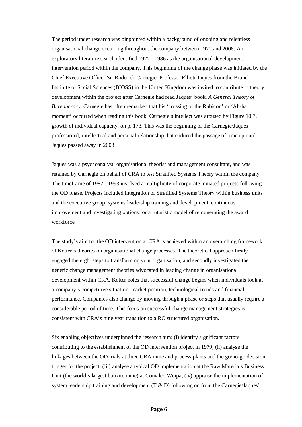The period under research was pinpointed within a background of ongoing and relentless organisational change occurring throughout the company between 1970 and 2008. An exploratory literature search identified 1977 - 1986 as the organisational development intervention period within the company. This beginning of the change phase was initiated by the Chief Executive Officer Sir Roderick Carnegie. Professor Elliott Jaques from the Brunel Institute of Social Sciences (BIOSS) in the United Kingdom was invited to contribute to theory development within the project after Carnegie had read Jaques' book, *A General Theory of Bureaucracy*. Carnegie has often remarked that his 'crossing of the Rubicon' or 'Ah-ha moment' occurred when reading this book. Carnegie's intellect was aroused by Figure 10.7, growth of individual capacity, on p. 173. This was the beginning of the Carnegie/Jaques professional, intellectual and personal relationship that endured the passage of time up until Jaques passed away in 2003.

Jaques was a psychoanalyst, organisational theorist and management consultant, and was retained by Carnegie on behalf of CRA to test Stratified Systems Theory within the company. The timeframe of 1987 - 1993 involved a multiplicity of corporate initiated projects following the OD phase. Projects included integration of Stratified Systems Theory within business units and the executive group, systems leadership training and development, continuous improvement and investigating options for a futuristic model of remunerating the award workforce.

The study's aim for the OD intervention at CRA is achieved within an overarching framework of Kotter's theories on organisational change processes. The theoretical approach firstly engaged the eight steps to transforming your organisation, and secondly investigated the generic change management theories advocated in leading change in organisational development within CRA. Kotter notes that successful change begins when individuals look at a company's competitive situation, market position, technological trends and financial performance. Companies also change by moving through a phase or steps that usually require a considerable period of time. This focus on successful change management strategies is consistent with CRA's nine year transition to a RO structured organisation.

Six enabling objectives underpinned the research aim: (i) identify significant factors contributing to the establishment of the OD intervention project in 1979, (ii) analyse the linkages between the OD trials at three CRA mine and process plants and the go/no-go decision trigger for the project, (iii) analyse a typical OD implementation at the Raw Materials Business Unit (the world's largest bauxite mine) at Comalco Weipa, (iv) appraise the implementation of system leadership training and development  $(T \& D)$  following on from the Carnegie/Jaques'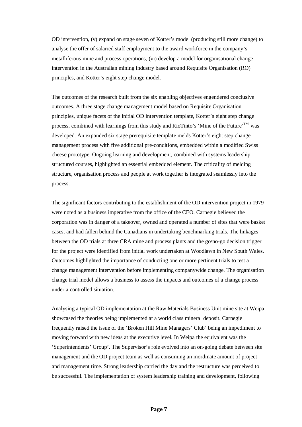OD intervention, (v) expand on stage seven of Kotter's model (producing still more change) to analyse the offer of salaried staff employment to the award workforce in the company's metalliferous mine and process operations, (vi) develop a model for organisational change intervention in the Australian mining industry based around Requisite Organisation (RO) principles, and Kotter's eight step change model.

The outcomes of the research built from the six enabling objectives engendered conclusive outcomes. A three stage change management model based on Requisite Organisation principles, unique facets of the initial OD intervention template, Kotter's eight step change process, combined with learnings from this study and RioTinto's 'Mine of the Future'<sup>TM</sup> was developed. An expanded six stage prerequisite template melds Kotter's eight step change management process with five additional pre-conditions, embedded within a modified Swiss cheese prototype. Ongoing learning and development, combined with systems leadership structured courses, highlighted an essential embedded element. The criticality of melding structure, organisation process and people at work together is integrated seamlessly into the process.

The significant factors contributing to the establishment of the OD intervention project in 1979 were noted as a business imperative from the office of the CEO. Carnegie believed the corporation was in danger of a takeover, owned and operated a number of sites that were basket cases, and had fallen behind the Canadians in undertaking benchmarking trials. The linkages between the OD trials at three CRA mine and process plants and the go/no-go decision trigger for the project were identified from initial work undertaken at Woodlawn in New South Wales. Outcomes highlighted the importance of conducting one or more pertinent trials to test a change management intervention before implementing companywide change. The organisation change trial model allows a business to assess the impacts and outcomes of a change process under a controlled situation.

Analysing a typical OD implementation at the Raw Materials Business Unit mine site at Weipa showcased the theories being implemented at a world class mineral deposit. Carnegie frequently raised the issue of the 'Broken Hill Mine Managers' Club' being an impediment to moving forward with new ideas at the executive level. In Weipa the equivalent was the 'Superintendents' Group'. The Supervisor's role evolved into an on-going debate between site management and the OD project team as well as consuming an inordinate amount of project and management time. Strong leadership carried the day and the restructure was perceived to be successful. The implementation of system leadership training and development, following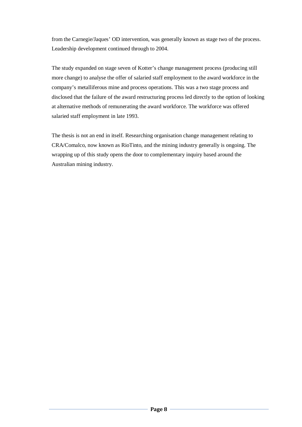from the Carnegie/Jaques' OD intervention, was generally known as stage two of the process. Leadership development continued through to 2004.

The study expanded on stage seven of Kotter's change management process (producing still more change) to analyse the offer of salaried staff employment to the award workforce in the company's metalliferous mine and process operations. This was a two stage process and disclosed that the failure of the award restructuring process led directly to the option of looking at alternative methods of remunerating the award workforce. The workforce was offered salaried staff employment in late 1993.

The thesis is not an end in itself. Researching organisation change management relating to CRA/Comalco, now known as RioTinto, and the mining industry generally is ongoing. The wrapping up of this study opens the door to complementary inquiry based around the Australian mining industry.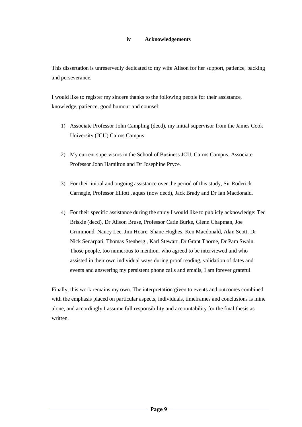## **iv Acknowledgements**

This dissertation is unreservedly dedicated to my wife Alison for her support, patience, backing and perseverance.

I would like to register my sincere thanks to the following people for their assistance, knowledge, patience, good humour and counsel:

- 1) Associate Professor John Campling (decd), my initial supervisor from the James Cook University (JCU) Cairns Campus
- 2) My current supervisors in the School of Business JCU, Cairns Campus. Associate Professor John Hamilton and Dr Josephine Pryce.
- 3) For their initial and ongoing assistance over the period of this study, Sir Roderick Carnegie, Professor Elliott Jaques (now decd), Jack Brady and Dr Ian Macdonald.
- 4) For their specific assistance during the study I would like to publicly acknowledge: Ted Briskie (decd), Dr Alison Bruse, Professor Catie Burke, Glenn Chapman, Joe Grimmond, Nancy Lee, Jim Hoare, Shane Hughes, Ken Macdonald, Alan Scott, Dr Nick Senarpati, Thomas Stenberg , Karl Stewart ,Dr Grant Thorne, Dr Pam Swain. Those people, too numerous to mention, who agreed to be interviewed and who assisted in their own individual ways during proof reading, validation of dates and events and answering my persistent phone calls and emails, I am forever grateful.

Finally, this work remains my own. The interpretation given to events and outcomes combined with the emphasis placed on particular aspects, individuals, timeframes and conclusions is mine alone, and accordingly I assume full responsibility and accountability for the final thesis as written.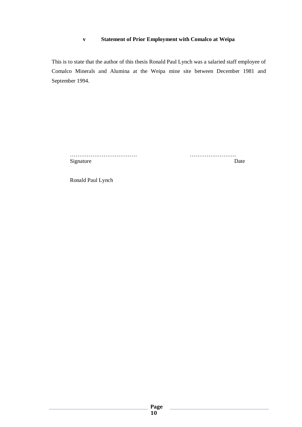## **v Statement of Prior Employment with Comalco at Weipa**

This is to state that the author of this thesis Ronald Paul Lynch was a salaried staff employee of Comalco Minerals and Alumina at the Weipa mine site between December 1981 and September 1994.

……………………………… ……………………. Signature Date

Ronald Paul Lynch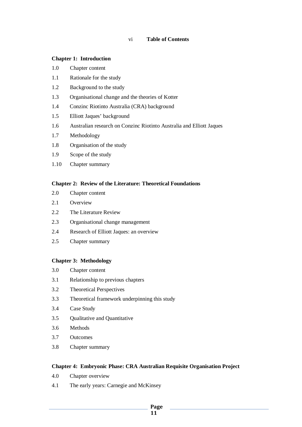#### **Chapter 1: Introduction**

- 1.0 Chapter content
- 1.1 Rationale for the study
- 1.2 Background to the study
- 1.3 Organisational change and the theories of Kotter
- 1.4 Conzinc Riotinto Australia (CRA) background
- 1.5 Elliott Jaques' background
- 1.6 Australian research on Conzinc Riotinto Australia and Elliott Jaques
- 1.7 Methodology
- 1.8 Organisation of the study
- 1.9 Scope of the study
- 1.10 Chapter summary

## **Chapter 2: Review of the Literature: Theoretical Foundations**

- 2.0 Chapter content
- 2.1 Overview
- 2.2 The Literature Review
- 2.3 Organisational change management
- 2.4 Research of Elliott Jaques: an overview
- 2.5 Chapter summary

## **Chapter 3: Methodology**

- 3.0 Chapter content
- 3.1 Relationship to previous chapters
- 3.2 Theoretical Perspectives
- 3.3 Theoretical framework underpinning this study
- 3.4 Case Study
- 3.5 Qualitative and Quantitative
- 3.6 Methods
- 3.7 Outcomes
- 3.8 Chapter summary

#### **Chapter 4: Embryonic Phase: CRA Australian Requisite Organisation Project**

- 4.0 Chapter overview
- 4.1 The early years: Carnegie and McKinsey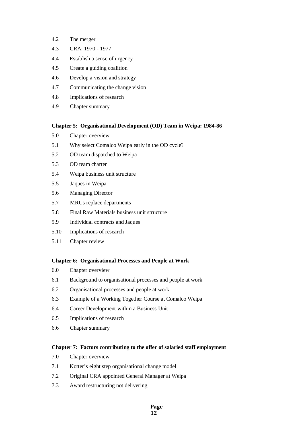- 4.2 The merger
- 4.3 CRA: 1970 1977
- 4.4 Establish a sense of urgency
- 4.5 Create a guiding coalition
- 4.6 Develop a vision and strategy
- 4.7 Communicating the change vision
- 4.8 Implications of research
- 4.9 Chapter summary

#### **Chapter 5: Organisational Development (OD) Team in Weipa: 1984-86**

- 5.0 Chapter overview
- 5.1 Why select Comalco Weipa early in the OD cycle?
- 5.2 OD team dispatched to Weipa
- 5.3 OD team charter
- 5.4 Weipa business unit structure
- 5.5 Jaques in Weipa
- 5.6 Managing Director
- 5.7 MRUs replace departments
- 5.8 Final Raw Materials business unit structure
- 5.9 Individual contracts and Jaques
- 5.10 Implications of research
- 5.11 Chapter review

#### **Chapter 6: Organisational Processes and People at Work**

- 6.0 Chapter overview
- 6.1 Background to organisational processes and people at work
- 6.2 Organisational processes and people at work
- 6.3 Example of a Working Together Course at Comalco Weipa
- 6.4 Career Development within a Business Unit
- 6.5 Implications of research
- 6.6 Chapter summary

#### **Chapter 7: Factors contributing to the offer of salaried staff employment**

- 7.0 Chapter overview
- 7.1 Kotter's eight step organisational change model
- 7.2 Original CRA appointed General Manager at Weipa
- 7.3 Award restructuring not delivering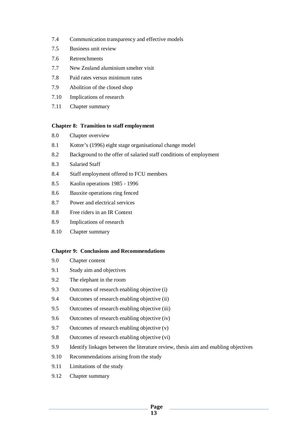- 7.4 Communication transparency and effective models
- 7.5 Business unit review
- 7.6 Retrenchments
- 7.7 New Zealand aluminium smelter visit
- 7.8 Paid rates versus minimum rates
- 7.9 Abolition of the closed shop
- 7.10 Implications of research
- 7.11 Chapter summary

#### **Chapter 8: Transition to staff employment**

- 8.0 Chapter overview
- 8.1 Kotter's (1996) eight stage organisational change model
- 8.2 Background to the offer of salaried staff conditions of employment
- 8.3 Salaried Staff
- 8.4 Staff employment offered to FCU members
- 8.5 Kaolin operations 1985 1996
- 8.6 Bauxite operations ring fenced
- 8.7 Power and electrical services
- 8.8 Free riders in an IR Context
- 8.9 Implications of research
- 8.10 Chapter summary

#### **Chapter 9: Conclusions and Recommendations**

- 9.0 Chapter content
- 9.1 Study aim and objectives
- 9.2 The elephant in the room
- 9.3 Outcomes of research enabling objective (i)
- 9.4 Outcomes of research enabling objective (ii)
- 9.5 Outcomes of research enabling objective (iii)
- 9.6 Outcomes of research enabling objective (iv)
- 9.7 Outcomes of research enabling objective (v)
- 9.8 Outcomes of research enabling objective (vi)
- 9.9 Identify linkages between the literature review, thesis aim and enabling objectives
- 9.10 Recommendations arising from the study
- 9.11 Limitations of the study
- 9.12 Chapter summary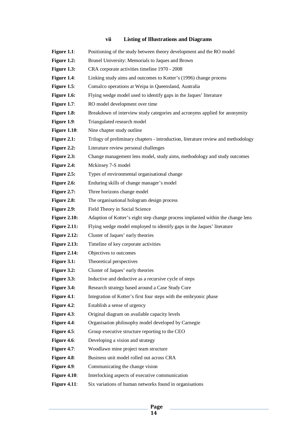#### **vii Listing of Illustrations and Diagrams**

Figure 1.1: Positioning of the study between theory development and the RO model **Figure 1.2:** Brunel University: Memorials to Jaques and Brown Figure 1.3: CRA corporate activities timeline 1970 - 2008 **Figure 1.4:** Linking study aims and outcomes to Kotter's (1996) change process **Figure 1.5:** Comalco operations at Weipa in Queensland, Australia **Figure 1.6:** Flying wedge model used to identify gaps in the Jaques' literature **Figure 1.7:** RO model development over time **Figure 1.8:** Breakdown of interview study categories and acronyms applied for anonymity **Figure 1.9:** Triangulated research model **Figure 1.10:** Nine chapter study outline **Figure 2.1:** Trilogy of preliminary chapters - introduction, literature review and methodology **Figure 2.2:** Literature review personal challenges **Figure 2.3:** Change management lens model, study aims, methodology and study outcomes **Figure 2.4:** Mckinsey 7-S model **Figure 2.5:** Types of environmental organisational change Figure 2.6: Enduring skills of change manager's model **Figure 2.7:** Three horizons change model **Figure 2.8:** The organisational hologram design process **Figure 2.9:** Field Theory in Social Science **Figure 2.10:** Adaption of Kotter's eight step change process implanted within the change lens **Figure 2.11:** Flying wedge model employed to identify gaps in the Jaques' literature **Figure 2.12:** Cluster of Jaques' early theories **Figure 2.13:** Timeline of key corporate activities **Figure 2.14:** Objectives to outcomes **Figure 3.1:** Theoretical perspectives **Figure 3.2:** Cluster of Jaques' early theories **Figure 3.3:** Inductive and deductive as a recursive cycle of steps **Figure 3.4:** Research strategy based around a Case Study Core **Figure 4.1**: Integration of Kotter's first four steps with the embryonic phase **Figure 4.2:** Establish a sense of urgency **Figure 4.3:** Original diagram on available capacity levels **Figure 4.4**: Organisation philosophy model developed by Carnegie **Figure 4.5:** Group executive structure reporting to the CEO **Figure 4.6:** Developing a vision and strategy **Figure 4.7:** Woodlawn mine project team structure **Figure 4.8:** Business unit model rolled out across CRA **Figure 4.9:** Communicating the change vision **Figure 4.10:** Interlocking aspects of executive communication **Figure 4.11:** Six variations of human networks found in organisations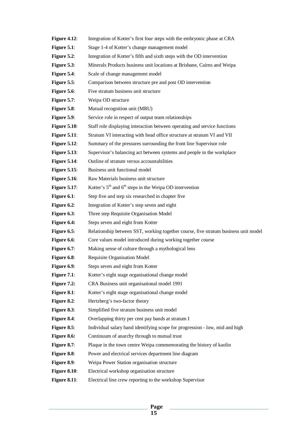| Figure $4.12$ :     | Integration of Kotter's first four steps with the embryonic phase at CRA            |
|---------------------|-------------------------------------------------------------------------------------|
| Figure $5.1$ :      | Stage 1-4 of Kotter's change management model                                       |
| Figure $5.2$ :      | Integration of Kotter's fifth and sixth steps with the OD intervention              |
| Figure 5.3:         | Minerals Products business unit locations at Brisbane, Cairns and Weipa             |
| Figure 5.4:         | Scale of change management model                                                    |
| Figure $5.5$ :      | Comparison between structure pre and post OD intervention                           |
| Figure 5.6:         | Five stratum business unit structure                                                |
| Figure $5.7$ :      | Weipa OD structure                                                                  |
| Figure 5.8:         | Mutual recognition unit (MRU)                                                       |
| Figure 5.9:         | Service role in respect of output team relationships                                |
| <b>Figure 5.10:</b> | Staff role displaying interaction between operating and service functions           |
| <b>Figure 5.11:</b> | Stratum VI interacting with head office structure at stratum VI and VII             |
| Figure $5.12$ :     | Summary of the pressures surrounding the front line Supervisor role                 |
| <b>Figure 5.13:</b> | Supervisor's balancing act between systems and people in the workplace              |
| <b>Figure 5.14:</b> | Outline of stratum versus accountabilities                                          |
| Figure $5.15$ :     | Business unit functional model                                                      |
| <b>Figure 5.16:</b> | Raw Materials business unit structure                                               |
| <b>Figure 5.17:</b> | Kotter's $5th$ and $6th$ steps in the Weipa OD intervention                         |
| Figure 6.1:         | Step five and step six researched in chapter five                                   |
| Figure $6.2$ :      | Integration of Kotter's step seven and eight                                        |
| Figure 6.3:         | Three step Requisite Organisation Model                                             |
| Figure 6.4:         | Steps seven and eight from Kotter                                                   |
| Figure $6.5$ :      | Relationship between SST, working together course, five stratum business unit model |
| Figure 6.6:         | Core values model introduced during working together course                         |
| Figure 6.7:         | Making sense of culture through a mythological lens                                 |
| Figure 6.8:         | Requisite Organisation Model                                                        |
| Figure 6.9:         | Steps seven and eight from Kotter                                                   |
| Figure $7.1$ :      | Kotter's eight stage organisational change model                                    |
| Figure 7.2:         | CRA Business unit organisational model 1991                                         |
| Figure 8.1:         | Kotter's eight stage organisational change model                                    |
| Figure 8.2:         | Hertzberg's two-factor theory                                                       |
| Figure 8.3:         | Simplified five stratum business unit model                                         |
| Figure 8.4:         | Overlapping thirty per cent pay bands at stratum I                                  |
| Figure $8.5$ :      | Individual salary band identifying scope for progression - low, mid and high        |
| Figure 8.6:         | Continuum of anarchy through to mutual trust                                        |
| Figure 8.7:         | Plaque in the town centre Weipa commemorating the history of kaolin                 |
| Figure 8.8:         | Power and electrical services department line diagram                               |
| Figure 8.9:         | Weipa Power Station organisation structure                                          |
| <b>Figure 8.10:</b> | Electrical workshop organisation structure                                          |
| Figure $8.11$ :     | Electrical line crew reporting to the workshop Supervisor                           |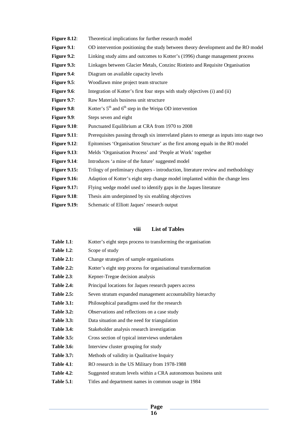| Figure $8.12$ :     | Theoretical implications for further research model                                      |
|---------------------|------------------------------------------------------------------------------------------|
| Figure $9.1$ :      | OD intervention positioning the study between theory development and the RO model        |
| Figure $9.2$ :      | Linking study aims and outcomes to Kotter's (1996) change management process             |
| Figure 9.3:         | Linkages between Glacier Metals, Conzinc Riotinto and Requisite Organisation             |
| Figure 9.4:         | Diagram on available capacity levels                                                     |
| Figure 9.5:         | Woodlawn mine project team structure                                                     |
| Figure 9.6:         | Integration of Kotter's first four steps with study objectives (i) and (ii)              |
| Figure $9.7$ :      | Raw Materials business unit structure                                                    |
| Figure 9.8:         | Kotter's $5th$ and $6th$ step in the Weipa OD intervention                               |
| Figure 9.9:         | Steps seven and eight                                                                    |
| <b>Figure 9.10:</b> | Punctuated Equilibrium at CRA from 1970 to 2008                                          |
| <b>Figure 9.11:</b> | Prerequisites passing through six interrelated plates to emerge as inputs into stage two |
| <b>Figure 9.12:</b> | Epitomises 'Organisation Structure' as the first among equals in the RO model            |
| Figure $9.13$ :     | Melds 'Organisation Process' and 'People at Work' together                               |
| <b>Figure 9.14:</b> | Introduces 'a mine of the future' suggested model                                        |
| <b>Figure 9.15:</b> | Trilogy of preliminary chapters - introduction, literature review and methodology        |
| <b>Figure 9.16:</b> | Adaption of Kotter's eight step change model implanted within the change lens            |
| <b>Figure 9.17:</b> | Flying wedge model used to identify gaps in the Jaques literature                        |
| <b>Figure 9.18:</b> | Thesis aim underpinned by six enabling objectives                                        |
| <b>Figure 9.19:</b> | Schematic of Elliott Jaques' research output                                             |

## **viii List of Tables**

| <b>Table 1.1:</b> | Kotter's eight steps process to transforming the organisation  |  |
|-------------------|----------------------------------------------------------------|--|
| <b>Table 1.2:</b> | Scope of study                                                 |  |
| <b>Table 2.1:</b> | Change strategies of sample organisations                      |  |
| <b>Table 2.2:</b> | Kotter's eight step process for organisational transformation  |  |
| <b>Table 2.3:</b> | Kepner-Tregoe decision analysis                                |  |
| Table 2.4:        | Principal locations for Jaques research papers access          |  |
| <b>Table 2.5:</b> | Seven stratum expanded management accountability hierarchy     |  |
| <b>Table 3.1:</b> | Philosophical paradigms used for the research                  |  |
| <b>Table 3.2:</b> | Observations and reflections on a case study                   |  |
| <b>Table 3.3:</b> | Data situation and the need for triangulation                  |  |
| <b>Table 3.4:</b> | Stakeholder analysis research investigation                    |  |
| <b>Table 3.5:</b> | Cross section of typical interviews undertaken                 |  |
| <b>Table 3.6:</b> | Interview cluster grouping for study                           |  |
| <b>Table 3.7:</b> | Methods of validity in Qualitative Inquiry                     |  |
| <b>Table 4.1:</b> | RO research in the US Military from 1978-1988                  |  |
| <b>Table 4.2:</b> | Suggested stratum levels within a CRA autonomous business unit |  |
| <b>Table 5.1:</b> | Titles and department names in common usage in 1984            |  |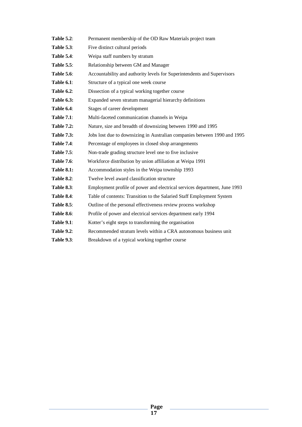| <b>Table 5.2:</b> | Permanent membership of the OD Raw Materials project team                 |
|-------------------|---------------------------------------------------------------------------|
| <b>Table 5.3:</b> | Five distinct cultural periods                                            |
| <b>Table 5.4:</b> | Weipa staff numbers by stratum                                            |
| <b>Table 5.5:</b> | Relationship between GM and Manager                                       |
| <b>Table 5.6:</b> | Accountability and authority levels for Superintendents and Supervisors   |
| <b>Table 6.1:</b> | Structure of a typical one week course                                    |
| <b>Table 6.2:</b> | Dissection of a typical working together course                           |
| <b>Table 6.3:</b> | Expanded seven stratum managerial hierarchy definitions                   |
| Table 6.4:        | Stages of career development                                              |
| <b>Table 7.1:</b> | Multi-faceted communication channels in Weipa                             |
| <b>Table 7.2:</b> | Nature, size and breadth of downsizing between 1990 and 1995              |
| <b>Table 7.3:</b> | Jobs lost due to downsizing in Australian companies between 1990 and 1995 |
| <b>Table 7.4:</b> | Percentage of employees in closed shop arrangements                       |
| <b>Table 7.5:</b> | Non-trade grading structure level one to five inclusive                   |
| <b>Table 7.6:</b> | Workforce distribution by union affiliation at Weipa 1991                 |
| <b>Table 8.1:</b> | Accommodation styles in the Weipa township 1993                           |
| <b>Table 8.2:</b> | Twelve level award classification structure                               |
| <b>Table 8.3:</b> | Employment profile of power and electrical services department, June 1993 |
| <b>Table 8.4:</b> | Table of contents: Transition to the Salaried Staff Employment System     |
| <b>Table 8.5:</b> | Outline of the personal effectiveness review process workshop             |
| <b>Table 8.6:</b> | Profile of power and electrical services department early 1994            |
| <b>Table 9.1:</b> | Kotter's eight steps to transforming the organisation                     |
| <b>Table 9.2:</b> | Recommended stratum levels within a CRA autonomous business unit          |
| <b>Table 9.3:</b> | Breakdown of a typical working together course                            |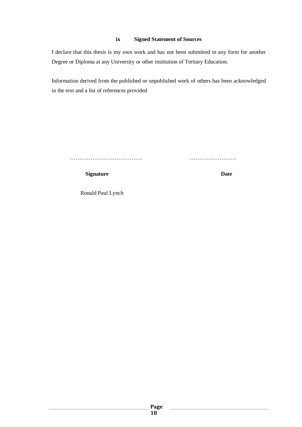## **ix Signed Statement of Sources**

I declare that this thesis is my own work and has not been submitted in any form for another Degree or Diploma at any University or other institution of Tertiary Education.

Information derived from the published or unpublished work of others has been acknowledged in the text and a list of references provided

………………………………… …………………….

**Signature** Date

Ronald Paul Lynch